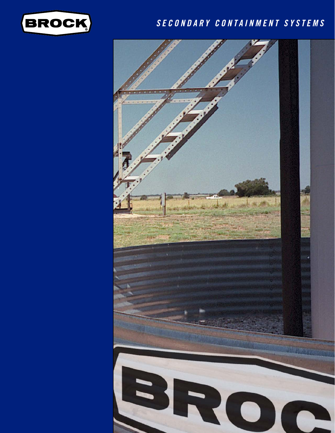

### *SECONDARY CONTAINMENT SYSTEMS*

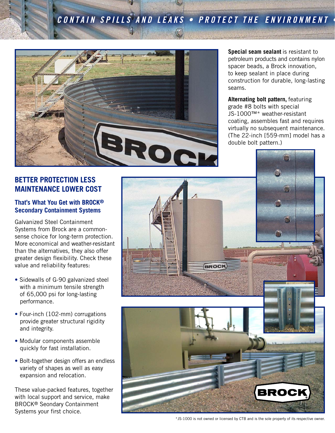# **CONTAIN SPILLS AND LEAKS • PROTECT THE ENVIRONMENT**



**Special seam sealant** is resistant to petroleum products and contains nylon spacer beads, a Brock innovation, to keep sealant in place during construction for durable, long-lasting seams.

**Alternating bolt pattern,** featuring grade #8 bolts with special JS-1000™\* weather-resistant coating, assembles fast and requires virtually no subsequent maintenance. (The 22-inch [559-mm] model has a double bolt pattern.)

### **BETTER PROTECTION LESS MAINTENANCE LOWER COST**

#### **That's What You Get with BROCK® Secondary Containment Systems**

Galvanized Steel Containment Systems from Brock are a commonsense choice for long-term protection. More economical and weather-resistant than the alternatives, they also offer greater design flexibility. Check these value and reliability features:

- Sidewalls of G-90 galvanized steel with a minimum tensile strength of 65,000 psi for long-lasting performance.
- Four-inch (102-mm) corrugations provide greater structural rigidity and integrity.
- Modular components assemble quickly for fast installation.
- Bolt-together design offers an endless variety of shapes as well as easy expansion and relocation.

These value-packed features, together with local support and service, make BROCK® Seondary Containment Systems your first choice.



\*JS-1000 is not owned or licensed by CTB and is the sole property of its respective owner.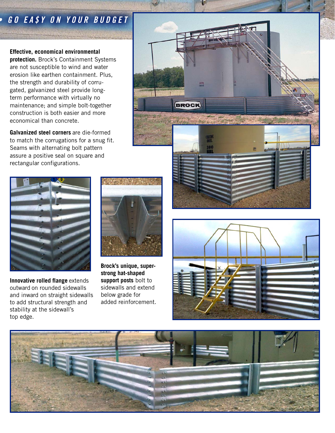## *GO EA\$Y ON YOUR BUDGET*

**Effective, economical environmental protection.** Brock's Containment Systems are not susceptible to wind and water erosion like earthen containment. Plus, the strength and durability of corrugated, galvanized steel provide longterm performance with virtually no maintenance; and simple bolt-together construction is both easier and more economical than concrete.

**Galvanized steel corners** are die-formed to match the corrugations for a snug fit. Seams with alternating bolt pattern assure a positive seal on square and rectangular configurations.



**Innovative rolled flange** extends outward on rounded sidewalls and inward on straight sidewalls to add structural strength and stability at the sidewall's top edge.



**Brock's unique, superstrong hat-shaped support posts** bolt to sidewalls and extend below grade for added reinforcement.